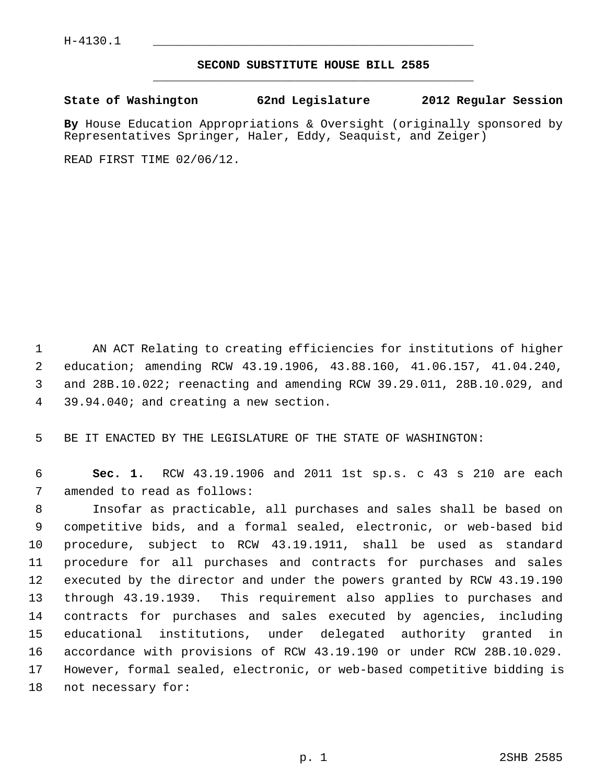## **SECOND SUBSTITUTE HOUSE BILL 2585** \_\_\_\_\_\_\_\_\_\_\_\_\_\_\_\_\_\_\_\_\_\_\_\_\_\_\_\_\_\_\_\_\_\_\_\_\_\_\_\_\_\_\_\_\_

## **State of Washington 62nd Legislature 2012 Regular Session**

**By** House Education Appropriations & Oversight (originally sponsored by Representatives Springer, Haler, Eddy, Seaquist, and Zeiger)

READ FIRST TIME 02/06/12.

 1 AN ACT Relating to creating efficiencies for institutions of higher 2 education; amending RCW 43.19.1906, 43.88.160, 41.06.157, 41.04.240, 3 and 28B.10.022; reenacting and amending RCW 39.29.011, 28B.10.029, and 4 39.94.040; and creating a new section.

5 BE IT ENACTED BY THE LEGISLATURE OF THE STATE OF WASHINGTON:

 6 **Sec. 1.** RCW 43.19.1906 and 2011 1st sp.s. c 43 s 210 are each 7 amended to read as follows:

 8 Insofar as practicable, all purchases and sales shall be based on 9 competitive bids, and a formal sealed, electronic, or web-based bid 10 procedure, subject to RCW 43.19.1911, shall be used as standard 11 procedure for all purchases and contracts for purchases and sales 12 executed by the director and under the powers granted by RCW 43.19.190 13 through 43.19.1939. This requirement also applies to purchases and 14 contracts for purchases and sales executed by agencies, including 15 educational institutions, under delegated authority granted in 16 accordance with provisions of RCW 43.19.190 or under RCW 28B.10.029. 17 However, formal sealed, electronic, or web-based competitive bidding is 18 not necessary for: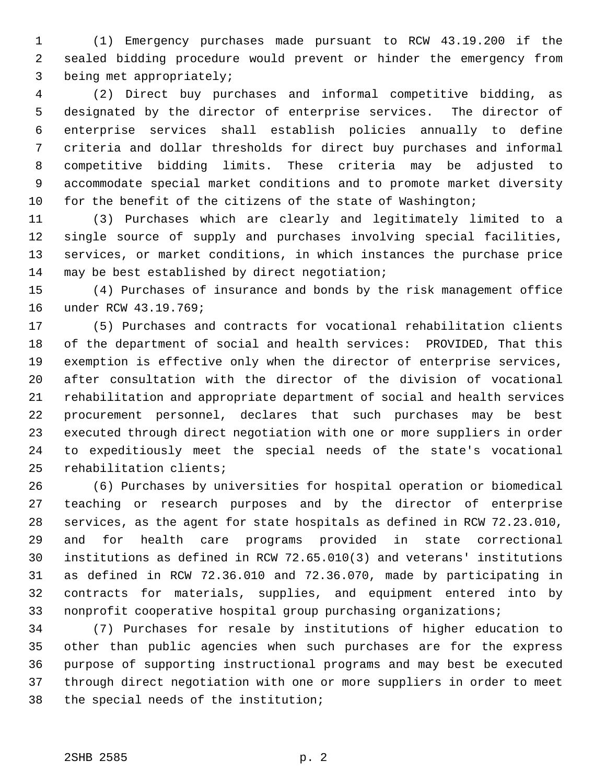1 (1) Emergency purchases made pursuant to RCW 43.19.200 if the 2 sealed bidding procedure would prevent or hinder the emergency from 3 being met appropriately;

 4 (2) Direct buy purchases and informal competitive bidding, as 5 designated by the director of enterprise services. The director of 6 enterprise services shall establish policies annually to define 7 criteria and dollar thresholds for direct buy purchases and informal 8 competitive bidding limits. These criteria may be adjusted to 9 accommodate special market conditions and to promote market diversity 10 for the benefit of the citizens of the state of Washington;

11 (3) Purchases which are clearly and legitimately limited to a 12 single source of supply and purchases involving special facilities, 13 services, or market conditions, in which instances the purchase price 14 may be best established by direct negotiation;

15 (4) Purchases of insurance and bonds by the risk management office 16 under RCW 43.19.769;

17 (5) Purchases and contracts for vocational rehabilitation clients 18 of the department of social and health services: PROVIDED, That this 19 exemption is effective only when the director of enterprise services, 20 after consultation with the director of the division of vocational 21 rehabilitation and appropriate department of social and health services 22 procurement personnel, declares that such purchases may be best 23 executed through direct negotiation with one or more suppliers in order 24 to expeditiously meet the special needs of the state's vocational 25 rehabilitation clients;

26 (6) Purchases by universities for hospital operation or biomedical 27 teaching or research purposes and by the director of enterprise 28 services, as the agent for state hospitals as defined in RCW 72.23.010, 29 and for health care programs provided in state correctional 30 institutions as defined in RCW 72.65.010(3) and veterans' institutions 31 as defined in RCW 72.36.010 and 72.36.070, made by participating in 32 contracts for materials, supplies, and equipment entered into by 33 nonprofit cooperative hospital group purchasing organizations;

34 (7) Purchases for resale by institutions of higher education to 35 other than public agencies when such purchases are for the express 36 purpose of supporting instructional programs and may best be executed 37 through direct negotiation with one or more suppliers in order to meet 38 the special needs of the institution;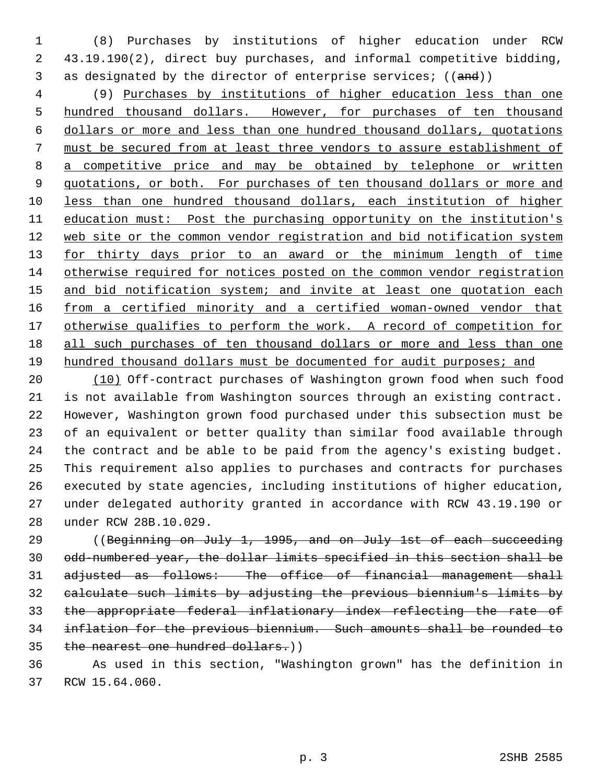1 (8) Purchases by institutions of higher education under RCW 2 43.19.190(2), direct buy purchases, and informal competitive bidding, 3 as designated by the director of enterprise services; ((and))

 4 (9) Purchases by institutions of higher education less than one hundred thousand dollars. However, for purchases of ten thousand dollars or more and less than one hundred thousand dollars, quotations must be secured from at least three vendors to assure establishment of a competitive price and may be obtained by telephone or written quotations, or both. For purchases of ten thousand dollars or more and less than one hundred thousand dollars, each institution of higher education must: Post the purchasing opportunity on the institution's web site or the common vendor registration and bid notification system for thirty days prior to an award or the minimum length of time otherwise required for notices posted on the common vendor registration and bid notification system; and invite at least one quotation each from a certified minority and a certified woman-owned vendor that otherwise qualifies to perform the work. A record of competition for all such purchases of ten thousand dollars or more and less than one 19 hundred thousand dollars must be documented for audit purposes; and

20 (10) Off-contract purchases of Washington grown food when such food 21 is not available from Washington sources through an existing contract. 22 However, Washington grown food purchased under this subsection must be 23 of an equivalent or better quality than similar food available through 24 the contract and be able to be paid from the agency's existing budget. 25 This requirement also applies to purchases and contracts for purchases 26 executed by state agencies, including institutions of higher education, 27 under delegated authority granted in accordance with RCW 43.19.190 or 28 under RCW 28B.10.029.

29 ((Beginning on July 1, 1995, and on July 1st of each succeeding odd-numbered year, the dollar limits specified in this section shall be adjusted as follows: The office of financial management shall calculate such limits by adjusting the previous biennium's limits by the appropriate federal inflationary index reflecting the rate of inflation for the previous biennium. Such amounts shall be rounded to 35 the nearest one hundred dollars.))

36 As used in this section, "Washington grown" has the definition in 37 RCW 15.64.060.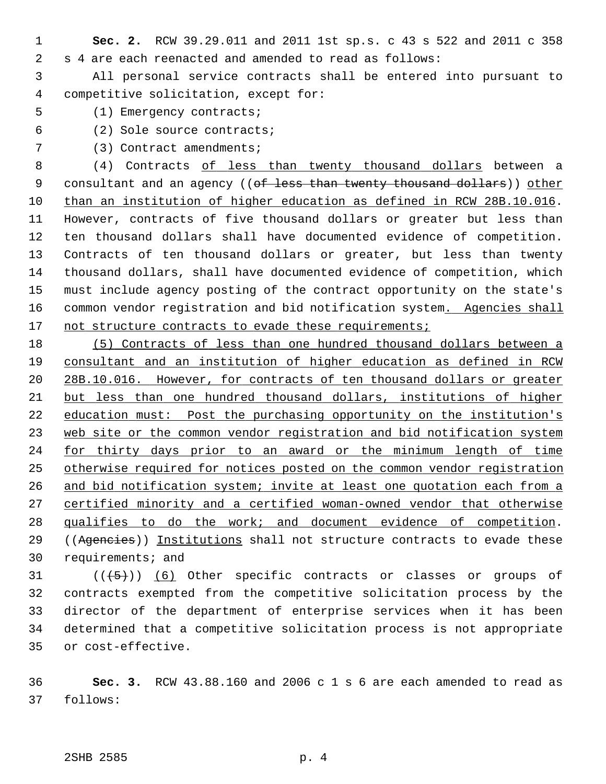1 **Sec. 2.** RCW 39.29.011 and 2011 1st sp.s. c 43 s 522 and 2011 c 358 2 s 4 are each reenacted and amended to read as follows:

 3 All personal service contracts shall be entered into pursuant to 4 competitive solicitation, except for:

- 5 (1) Emergency contracts;
- 6 (2) Sole source contracts;
- 7 (3) Contract amendments;

 8 (4) Contracts of less than twenty thousand dollars between a 9 consultant and an agency ((of less than twenty thousand dollars)) other 10 than an institution of higher education as defined in RCW 28B.10.016. 11 However, contracts of five thousand dollars or greater but less than 12 ten thousand dollars shall have documented evidence of competition. 13 Contracts of ten thousand dollars or greater, but less than twenty 14 thousand dollars, shall have documented evidence of competition, which 15 must include agency posting of the contract opportunity on the state's 16 common vendor registration and bid notification system. Agencies shall 17 not structure contracts to evade these requirements;

 (5) Contracts of less than one hundred thousand dollars between a consultant and an institution of higher education as defined in RCW 28B.10.016. However, for contracts of ten thousand dollars or greater 21 but less than one hundred thousand dollars, institutions of higher education must: Post the purchasing opportunity on the institution's web site or the common vendor registration and bid notification system for thirty days prior to an award or the minimum length of time 25 otherwise required for notices posted on the common vendor registration 26 and bid notification system; invite at least one quotation each from a certified minority and a certified woman-owned vendor that otherwise qualifies to do the work; and document evidence of competition. 29 ((Agencies)) Institutions shall not structure contracts to evade these 30 requirements; and

31  $((\langle 5 \rangle)(6)$  Other specific contracts or classes or groups of 32 contracts exempted from the competitive solicitation process by the 33 director of the department of enterprise services when it has been 34 determined that a competitive solicitation process is not appropriate 35 or cost-effective.

36 **Sec. 3.** RCW 43.88.160 and 2006 c 1 s 6 are each amended to read as 37 follows: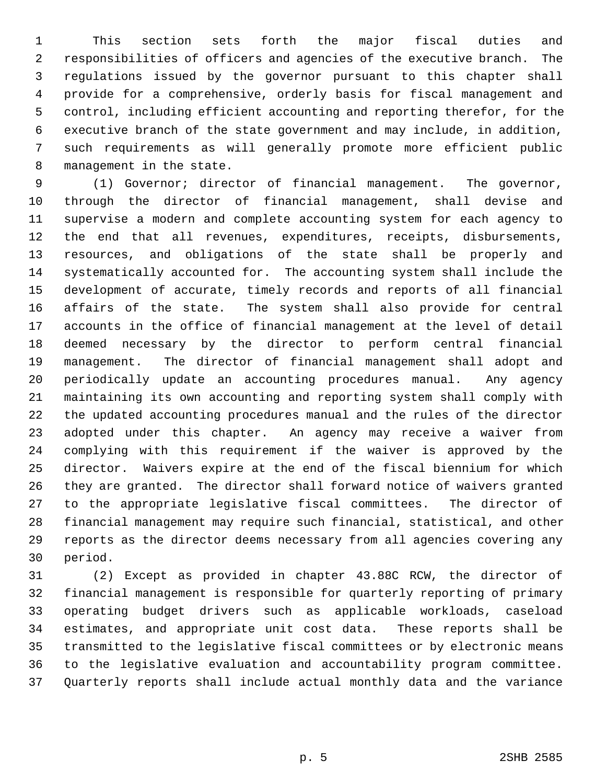1 This section sets forth the major fiscal duties and 2 responsibilities of officers and agencies of the executive branch. The 3 regulations issued by the governor pursuant to this chapter shall 4 provide for a comprehensive, orderly basis for fiscal management and 5 control, including efficient accounting and reporting therefor, for the 6 executive branch of the state government and may include, in addition, 7 such requirements as will generally promote more efficient public 8 management in the state.

 9 (1) Governor; director of financial management. The governor, 10 through the director of financial management, shall devise and 11 supervise a modern and complete accounting system for each agency to 12 the end that all revenues, expenditures, receipts, disbursements, 13 resources, and obligations of the state shall be properly and 14 systematically accounted for. The accounting system shall include the 15 development of accurate, timely records and reports of all financial 16 affairs of the state. The system shall also provide for central 17 accounts in the office of financial management at the level of detail 18 deemed necessary by the director to perform central financial 19 management. The director of financial management shall adopt and 20 periodically update an accounting procedures manual. Any agency 21 maintaining its own accounting and reporting system shall comply with 22 the updated accounting procedures manual and the rules of the director 23 adopted under this chapter. An agency may receive a waiver from 24 complying with this requirement if the waiver is approved by the 25 director. Waivers expire at the end of the fiscal biennium for which 26 they are granted. The director shall forward notice of waivers granted 27 to the appropriate legislative fiscal committees. The director of 28 financial management may require such financial, statistical, and other 29 reports as the director deems necessary from all agencies covering any 30 period.

31 (2) Except as provided in chapter 43.88C RCW, the director of 32 financial management is responsible for quarterly reporting of primary 33 operating budget drivers such as applicable workloads, caseload 34 estimates, and appropriate unit cost data. These reports shall be 35 transmitted to the legislative fiscal committees or by electronic means 36 to the legislative evaluation and accountability program committee. 37 Quarterly reports shall include actual monthly data and the variance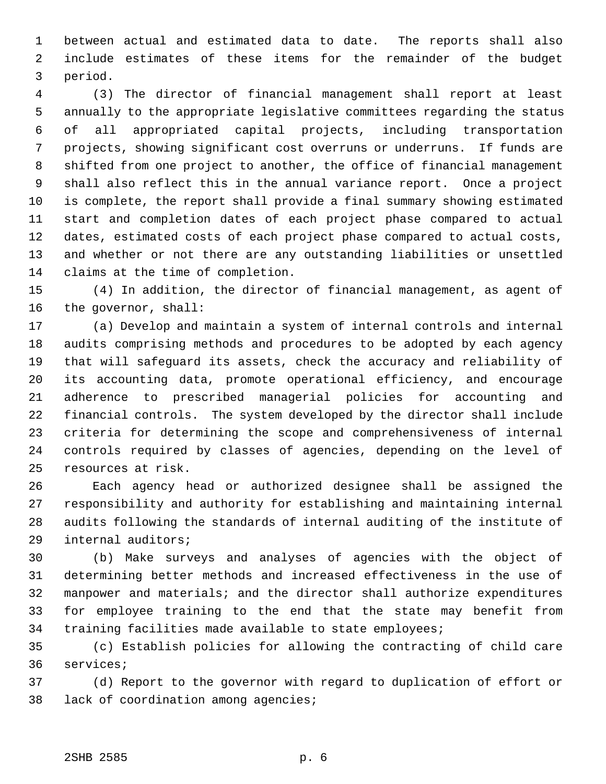1 between actual and estimated data to date. The reports shall also 2 include estimates of these items for the remainder of the budget 3 period.

 4 (3) The director of financial management shall report at least 5 annually to the appropriate legislative committees regarding the status 6 of all appropriated capital projects, including transportation 7 projects, showing significant cost overruns or underruns. If funds are 8 shifted from one project to another, the office of financial management 9 shall also reflect this in the annual variance report. Once a project 10 is complete, the report shall provide a final summary showing estimated 11 start and completion dates of each project phase compared to actual 12 dates, estimated costs of each project phase compared to actual costs, 13 and whether or not there are any outstanding liabilities or unsettled 14 claims at the time of completion.

15 (4) In addition, the director of financial management, as agent of 16 the governor, shall:

17 (a) Develop and maintain a system of internal controls and internal 18 audits comprising methods and procedures to be adopted by each agency 19 that will safeguard its assets, check the accuracy and reliability of 20 its accounting data, promote operational efficiency, and encourage 21 adherence to prescribed managerial policies for accounting and 22 financial controls. The system developed by the director shall include 23 criteria for determining the scope and comprehensiveness of internal 24 controls required by classes of agencies, depending on the level of 25 resources at risk.

26 Each agency head or authorized designee shall be assigned the 27 responsibility and authority for establishing and maintaining internal 28 audits following the standards of internal auditing of the institute of 29 internal auditors;

30 (b) Make surveys and analyses of agencies with the object of 31 determining better methods and increased effectiveness in the use of 32 manpower and materials; and the director shall authorize expenditures 33 for employee training to the end that the state may benefit from 34 training facilities made available to state employees;

35 (c) Establish policies for allowing the contracting of child care 36 services;

37 (d) Report to the governor with regard to duplication of effort or 38 lack of coordination among agencies;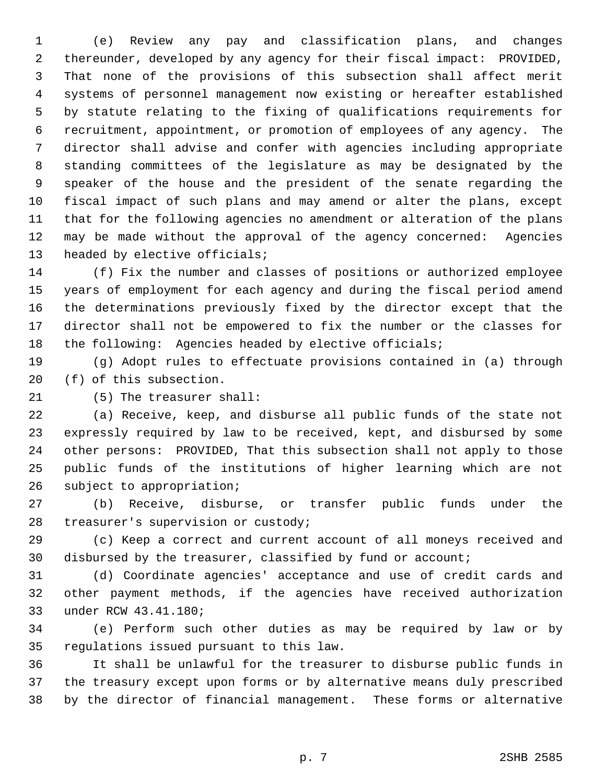1 (e) Review any pay and classification plans, and changes 2 thereunder, developed by any agency for their fiscal impact: PROVIDED, 3 That none of the provisions of this subsection shall affect merit 4 systems of personnel management now existing or hereafter established 5 by statute relating to the fixing of qualifications requirements for 6 recruitment, appointment, or promotion of employees of any agency. The 7 director shall advise and confer with agencies including appropriate 8 standing committees of the legislature as may be designated by the 9 speaker of the house and the president of the senate regarding the 10 fiscal impact of such plans and may amend or alter the plans, except 11 that for the following agencies no amendment or alteration of the plans 12 may be made without the approval of the agency concerned: Agencies 13 headed by elective officials;

14 (f) Fix the number and classes of positions or authorized employee 15 years of employment for each agency and during the fiscal period amend 16 the determinations previously fixed by the director except that the 17 director shall not be empowered to fix the number or the classes for 18 the following: Agencies headed by elective officials;

19 (g) Adopt rules to effectuate provisions contained in (a) through 20 (f) of this subsection.

21 (5) The treasurer shall:

22 (a) Receive, keep, and disburse all public funds of the state not 23 expressly required by law to be received, kept, and disbursed by some 24 other persons: PROVIDED, That this subsection shall not apply to those 25 public funds of the institutions of higher learning which are not 26 subject to appropriation;

27 (b) Receive, disburse, or transfer public funds under the 28 treasurer's supervision or custody;

29 (c) Keep a correct and current account of all moneys received and 30 disbursed by the treasurer, classified by fund or account;

31 (d) Coordinate agencies' acceptance and use of credit cards and 32 other payment methods, if the agencies have received authorization 33 under RCW 43.41.180;

34 (e) Perform such other duties as may be required by law or by 35 regulations issued pursuant to this law.

36 It shall be unlawful for the treasurer to disburse public funds in 37 the treasury except upon forms or by alternative means duly prescribed 38 by the director of financial management. These forms or alternative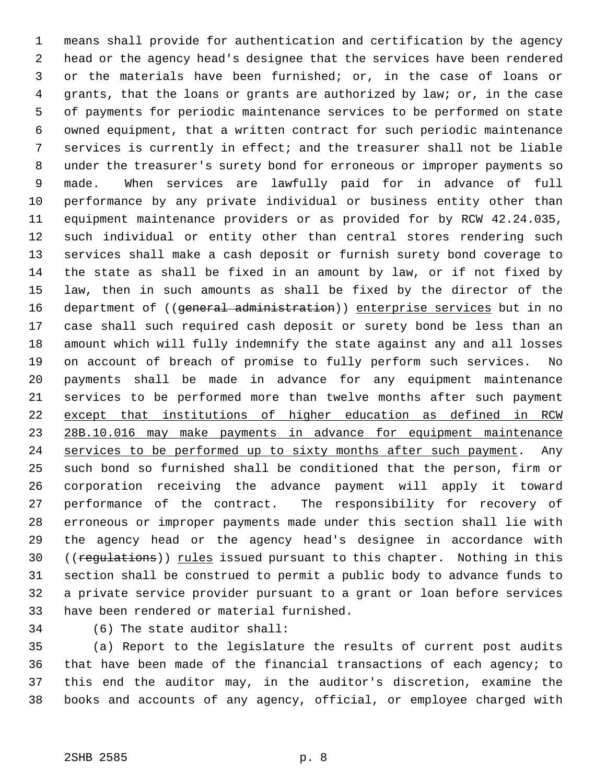1 means shall provide for authentication and certification by the agency 2 head or the agency head's designee that the services have been rendered 3 or the materials have been furnished; or, in the case of loans or 4 grants, that the loans or grants are authorized by law; or, in the case 5 of payments for periodic maintenance services to be performed on state 6 owned equipment, that a written contract for such periodic maintenance 7 services is currently in effect; and the treasurer shall not be liable 8 under the treasurer's surety bond for erroneous or improper payments so 9 made. When services are lawfully paid for in advance of full 10 performance by any private individual or business entity other than 11 equipment maintenance providers or as provided for by RCW 42.24.035, 12 such individual or entity other than central stores rendering such 13 services shall make a cash deposit or furnish surety bond coverage to 14 the state as shall be fixed in an amount by law, or if not fixed by 15 law, then in such amounts as shall be fixed by the director of the 16 department of ((general administration)) enterprise services but in no 17 case shall such required cash deposit or surety bond be less than an 18 amount which will fully indemnify the state against any and all losses 19 on account of breach of promise to fully perform such services. No 20 payments shall be made in advance for any equipment maintenance 21 services to be performed more than twelve months after such payment 22 except that institutions of higher education as defined in RCW 23 28B.10.016 may make payments in advance for equipment maintenance 24 services to be performed up to sixty months after such payment. Any 25 such bond so furnished shall be conditioned that the person, firm or 26 corporation receiving the advance payment will apply it toward 27 performance of the contract. The responsibility for recovery of 28 erroneous or improper payments made under this section shall lie with 29 the agency head or the agency head's designee in accordance with 30 ((regulations)) rules issued pursuant to this chapter. Nothing in this 31 section shall be construed to permit a public body to advance funds to 32 a private service provider pursuant to a grant or loan before services 33 have been rendered or material furnished.

34 (6) The state auditor shall:

35 (a) Report to the legislature the results of current post audits 36 that have been made of the financial transactions of each agency; to 37 this end the auditor may, in the auditor's discretion, examine the 38 books and accounts of any agency, official, or employee charged with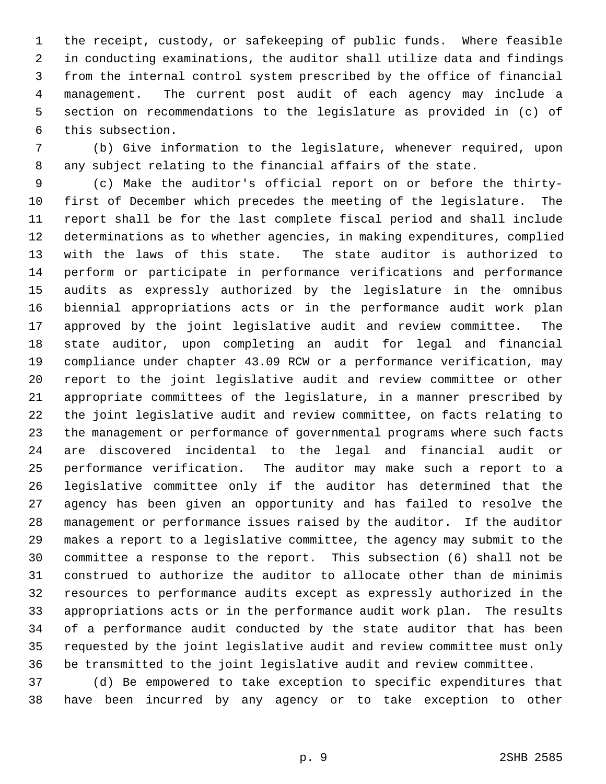1 the receipt, custody, or safekeeping of public funds. Where feasible 2 in conducting examinations, the auditor shall utilize data and findings 3 from the internal control system prescribed by the office of financial 4 management. The current post audit of each agency may include a 5 section on recommendations to the legislature as provided in (c) of 6 this subsection.

 7 (b) Give information to the legislature, whenever required, upon 8 any subject relating to the financial affairs of the state.

 9 (c) Make the auditor's official report on or before the thirty-10 first of December which precedes the meeting of the legislature. The 11 report shall be for the last complete fiscal period and shall include 12 determinations as to whether agencies, in making expenditures, complied 13 with the laws of this state. The state auditor is authorized to 14 perform or participate in performance verifications and performance 15 audits as expressly authorized by the legislature in the omnibus 16 biennial appropriations acts or in the performance audit work plan 17 approved by the joint legislative audit and review committee. The 18 state auditor, upon completing an audit for legal and financial 19 compliance under chapter 43.09 RCW or a performance verification, may 20 report to the joint legislative audit and review committee or other 21 appropriate committees of the legislature, in a manner prescribed by 22 the joint legislative audit and review committee, on facts relating to 23 the management or performance of governmental programs where such facts 24 are discovered incidental to the legal and financial audit or 25 performance verification. The auditor may make such a report to a 26 legislative committee only if the auditor has determined that the 27 agency has been given an opportunity and has failed to resolve the 28 management or performance issues raised by the auditor. If the auditor 29 makes a report to a legislative committee, the agency may submit to the 30 committee a response to the report. This subsection (6) shall not be 31 construed to authorize the auditor to allocate other than de minimis 32 resources to performance audits except as expressly authorized in the 33 appropriations acts or in the performance audit work plan. The results 34 of a performance audit conducted by the state auditor that has been 35 requested by the joint legislative audit and review committee must only 36 be transmitted to the joint legislative audit and review committee.

37 (d) Be empowered to take exception to specific expenditures that 38 have been incurred by any agency or to take exception to other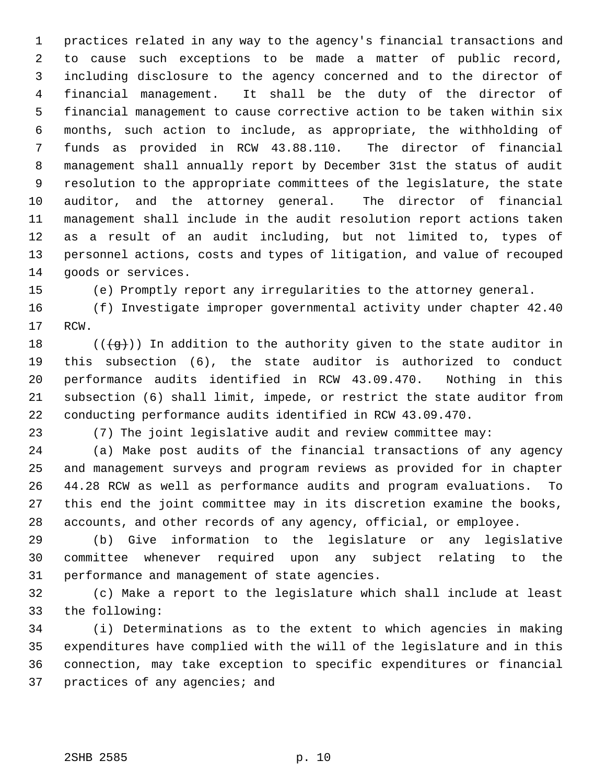1 practices related in any way to the agency's financial transactions and 2 to cause such exceptions to be made a matter of public record, 3 including disclosure to the agency concerned and to the director of 4 financial management. It shall be the duty of the director of 5 financial management to cause corrective action to be taken within six 6 months, such action to include, as appropriate, the withholding of 7 funds as provided in RCW 43.88.110. The director of financial 8 management shall annually report by December 31st the status of audit 9 resolution to the appropriate committees of the legislature, the state 10 auditor, and the attorney general. The director of financial 11 management shall include in the audit resolution report actions taken 12 as a result of an audit including, but not limited to, types of 13 personnel actions, costs and types of litigation, and value of recouped 14 goods or services.

15 (e) Promptly report any irregularities to the attorney general.

16 (f) Investigate improper governmental activity under chapter 42.40 17 RCW.

18 ( $(\overline{q})$ ) In addition to the authority given to the state auditor in 19 this subsection (6), the state auditor is authorized to conduct 20 performance audits identified in RCW 43.09.470. Nothing in this 21 subsection (6) shall limit, impede, or restrict the state auditor from 22 conducting performance audits identified in RCW 43.09.470.

23 (7) The joint legislative audit and review committee may:

24 (a) Make post audits of the financial transactions of any agency 25 and management surveys and program reviews as provided for in chapter 26 44.28 RCW as well as performance audits and program evaluations. To 27 this end the joint committee may in its discretion examine the books, 28 accounts, and other records of any agency, official, or employee.

29 (b) Give information to the legislature or any legislative 30 committee whenever required upon any subject relating to the 31 performance and management of state agencies.

32 (c) Make a report to the legislature which shall include at least 33 the following:

34 (i) Determinations as to the extent to which agencies in making 35 expenditures have complied with the will of the legislature and in this 36 connection, may take exception to specific expenditures or financial 37 practices of any agencies; and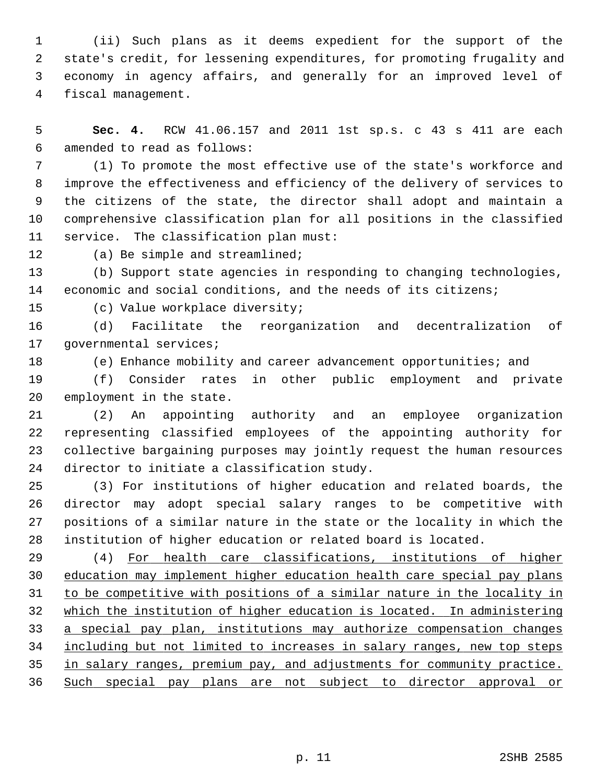1 (ii) Such plans as it deems expedient for the support of the 2 state's credit, for lessening expenditures, for promoting frugality and 3 economy in agency affairs, and generally for an improved level of 4 fiscal management.

 5 **Sec. 4.** RCW 41.06.157 and 2011 1st sp.s. c 43 s 411 are each 6 amended to read as follows:

 7 (1) To promote the most effective use of the state's workforce and 8 improve the effectiveness and efficiency of the delivery of services to 9 the citizens of the state, the director shall adopt and maintain a 10 comprehensive classification plan for all positions in the classified 11 service. The classification plan must:

12 (a) Be simple and streamlined;

13 (b) Support state agencies in responding to changing technologies, 14 economic and social conditions, and the needs of its citizens;

15 (c) Value workplace diversity;

16 (d) Facilitate the reorganization and decentralization of 17 governmental services;

18 (e) Enhance mobility and career advancement opportunities; and

19 (f) Consider rates in other public employment and private 20 employment in the state.

21 (2) An appointing authority and an employee organization 22 representing classified employees of the appointing authority for 23 collective bargaining purposes may jointly request the human resources 24 director to initiate a classification study.

25 (3) For institutions of higher education and related boards, the 26 director may adopt special salary ranges to be competitive with 27 positions of a similar nature in the state or the locality in which the 28 institution of higher education or related board is located.

29 (4) For health care classifications, institutions of higher education may implement higher education health care special pay plans to be competitive with positions of a similar nature in the locality in which the institution of higher education is located. In administering a special pay plan, institutions may authorize compensation changes including but not limited to increases in salary ranges, new top steps in salary ranges, premium pay, and adjustments for community practice. Such special pay plans are not subject to director approval or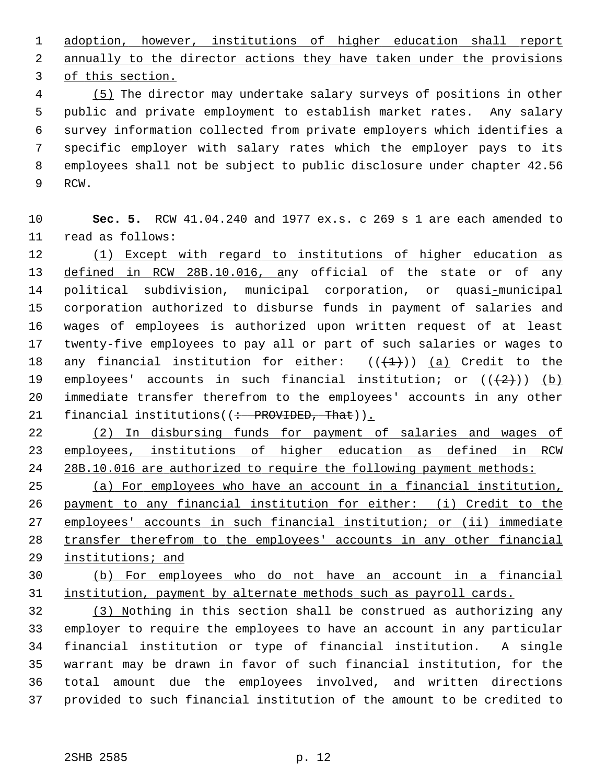1 adoption, however, institutions of higher education shall report 2 annually to the director actions they have taken under the provisions 3 of this section.

 4 (5) The director may undertake salary surveys of positions in other 5 public and private employment to establish market rates. Any salary 6 survey information collected from private employers which identifies a 7 specific employer with salary rates which the employer pays to its 8 employees shall not be subject to public disclosure under chapter 42.56 9 RCW.

10 **Sec. 5.** RCW 41.04.240 and 1977 ex.s. c 269 s 1 are each amended to 11 read as follows:

12 (1) Except with regard to institutions of higher education as 13 defined in RCW 28B.10.016, any official of the state or of any 14 political subdivision, municipal corporation, or quasi-municipal 15 corporation authorized to disburse funds in payment of salaries and 16 wages of employees is authorized upon written request of at least 17 twenty-five employees to pay all or part of such salaries or wages to 18 any financial institution for either:  $((+1))$  (a) Credit to the 19 employees' accounts in such financial institution; or  $((+2))$  (b) 20 immediate transfer therefrom to the employees' accounts in any other 21 financial institutions( $($  + PROVIDED, That)).

22 (2) In disbursing funds for payment of salaries and wages of 23 employees, institutions of higher education as defined in RCW 24 28B.10.016 are authorized to require the following payment methods:

 (a) For employees who have an account in a financial institution, payment to any financial institution for either: (i) Credit to the employees' accounts in such financial institution; or (ii) immediate transfer therefrom to the employees' accounts in any other financial institutions; and

30 (b) For employees who do not have an account in a financial 31 institution, payment by alternate methods such as payroll cards.

32 (3) Nothing in this section shall be construed as authorizing any 33 employer to require the employees to have an account in any particular 34 financial institution or type of financial institution. A single 35 warrant may be drawn in favor of such financial institution, for the 36 total amount due the employees involved, and written directions 37 provided to such financial institution of the amount to be credited to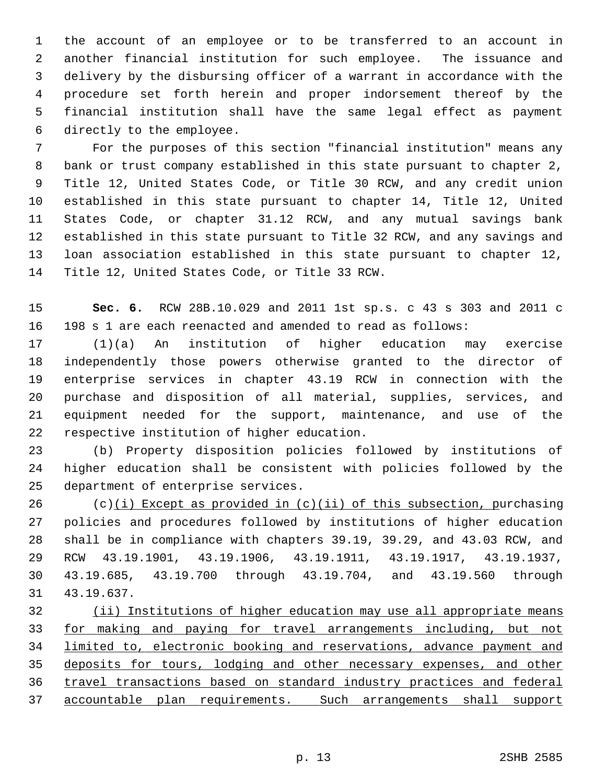1 the account of an employee or to be transferred to an account in 2 another financial institution for such employee. The issuance and 3 delivery by the disbursing officer of a warrant in accordance with the 4 procedure set forth herein and proper indorsement thereof by the 5 financial institution shall have the same legal effect as payment 6 directly to the employee.

 7 For the purposes of this section "financial institution" means any 8 bank or trust company established in this state pursuant to chapter 2, 9 Title 12, United States Code, or Title 30 RCW, and any credit union 10 established in this state pursuant to chapter 14, Title 12, United 11 States Code, or chapter 31.12 RCW, and any mutual savings bank 12 established in this state pursuant to Title 32 RCW, and any savings and 13 loan association established in this state pursuant to chapter 12, 14 Title 12, United States Code, or Title 33 RCW.

15 **Sec. 6.** RCW 28B.10.029 and 2011 1st sp.s. c 43 s 303 and 2011 c 16 198 s 1 are each reenacted and amended to read as follows:

17 (1)(a) An institution of higher education may exercise 18 independently those powers otherwise granted to the director of 19 enterprise services in chapter 43.19 RCW in connection with the 20 purchase and disposition of all material, supplies, services, and 21 equipment needed for the support, maintenance, and use of the 22 respective institution of higher education.

23 (b) Property disposition policies followed by institutions of 24 higher education shall be consistent with policies followed by the 25 department of enterprise services.

 $26$  (c)(i) Except as provided in (c)(ii) of this subsection, purchasing 27 policies and procedures followed by institutions of higher education 28 shall be in compliance with chapters 39.19, 39.29, and 43.03 RCW, and 29 RCW 43.19.1901, 43.19.1906, 43.19.1911, 43.19.1917, 43.19.1937, 30 43.19.685, 43.19.700 through 43.19.704, and 43.19.560 through 31 43.19.637.

 (ii) Institutions of higher education may use all appropriate means for making and paying for travel arrangements including, but not limited to, electronic booking and reservations, advance payment and deposits for tours, lodging and other necessary expenses, and other travel transactions based on standard industry practices and federal accountable plan requirements. Such arrangements shall support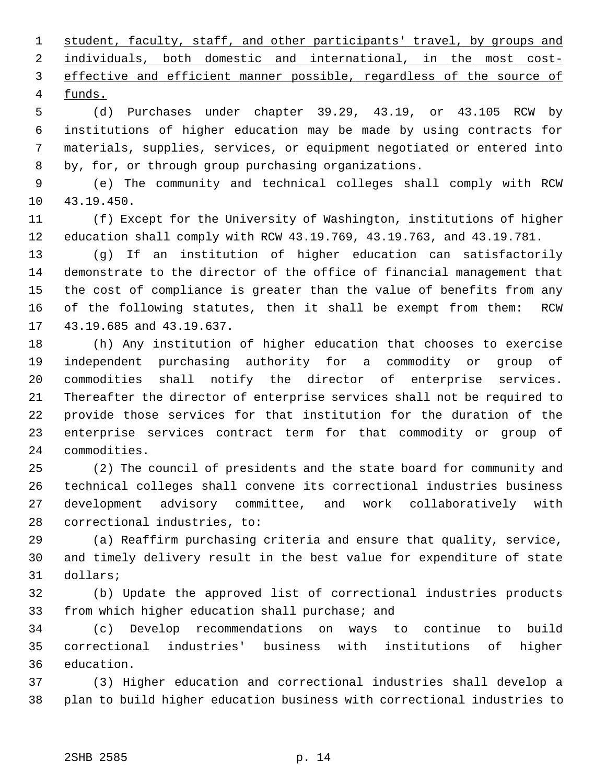student, faculty, staff, and other participants' travel, by groups and individuals, both domestic and international, in the most cost- effective and efficient manner possible, regardless of the source of 4 funds.

 5 (d) Purchases under chapter 39.29, 43.19, or 43.105 RCW by 6 institutions of higher education may be made by using contracts for 7 materials, supplies, services, or equipment negotiated or entered into 8 by, for, or through group purchasing organizations.

 9 (e) The community and technical colleges shall comply with RCW 10 43.19.450.

11 (f) Except for the University of Washington, institutions of higher 12 education shall comply with RCW 43.19.769, 43.19.763, and 43.19.781.

13 (g) If an institution of higher education can satisfactorily 14 demonstrate to the director of the office of financial management that 15 the cost of compliance is greater than the value of benefits from any 16 of the following statutes, then it shall be exempt from them: RCW 17 43.19.685 and 43.19.637.

18 (h) Any institution of higher education that chooses to exercise 19 independent purchasing authority for a commodity or group of 20 commodities shall notify the director of enterprise services. 21 Thereafter the director of enterprise services shall not be required to 22 provide those services for that institution for the duration of the 23 enterprise services contract term for that commodity or group of 24 commodities.

25 (2) The council of presidents and the state board for community and 26 technical colleges shall convene its correctional industries business 27 development advisory committee, and work collaboratively with 28 correctional industries, to:

29 (a) Reaffirm purchasing criteria and ensure that quality, service, 30 and timely delivery result in the best value for expenditure of state 31 dollars;

32 (b) Update the approved list of correctional industries products 33 from which higher education shall purchase; and

34 (c) Develop recommendations on ways to continue to build 35 correctional industries' business with institutions of higher 36 education.

37 (3) Higher education and correctional industries shall develop a 38 plan to build higher education business with correctional industries to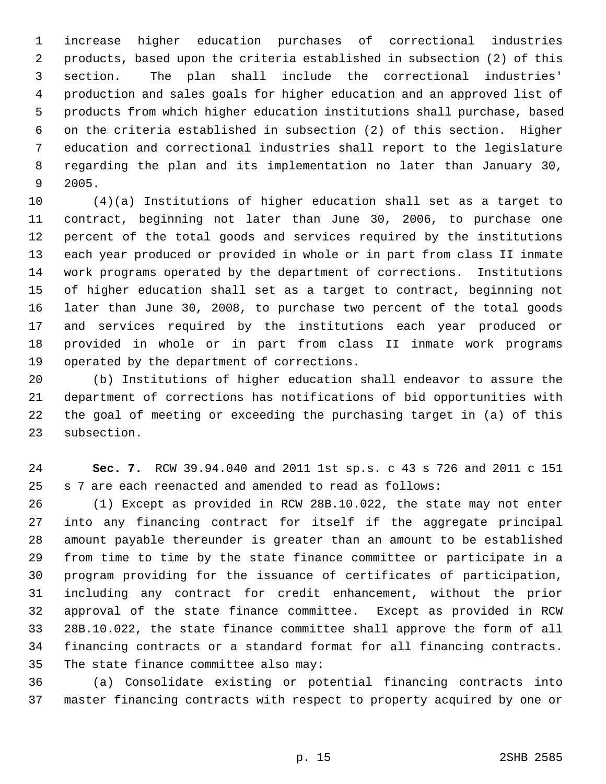1 increase higher education purchases of correctional industries 2 products, based upon the criteria established in subsection (2) of this 3 section. The plan shall include the correctional industries' 4 production and sales goals for higher education and an approved list of 5 products from which higher education institutions shall purchase, based 6 on the criteria established in subsection (2) of this section. Higher 7 education and correctional industries shall report to the legislature 8 regarding the plan and its implementation no later than January 30, 9 2005.

10 (4)(a) Institutions of higher education shall set as a target to 11 contract, beginning not later than June 30, 2006, to purchase one 12 percent of the total goods and services required by the institutions 13 each year produced or provided in whole or in part from class II inmate 14 work programs operated by the department of corrections. Institutions 15 of higher education shall set as a target to contract, beginning not 16 later than June 30, 2008, to purchase two percent of the total goods 17 and services required by the institutions each year produced or 18 provided in whole or in part from class II inmate work programs 19 operated by the department of corrections.

20 (b) Institutions of higher education shall endeavor to assure the 21 department of corrections has notifications of bid opportunities with 22 the goal of meeting or exceeding the purchasing target in (a) of this 23 subsection.

24 **Sec. 7.** RCW 39.94.040 and 2011 1st sp.s. c 43 s 726 and 2011 c 151 25 s 7 are each reenacted and amended to read as follows:

26 (1) Except as provided in RCW 28B.10.022, the state may not enter 27 into any financing contract for itself if the aggregate principal 28 amount payable thereunder is greater than an amount to be established 29 from time to time by the state finance committee or participate in a 30 program providing for the issuance of certificates of participation, 31 including any contract for credit enhancement, without the prior 32 approval of the state finance committee. Except as provided in RCW 33 28B.10.022, the state finance committee shall approve the form of all 34 financing contracts or a standard format for all financing contracts. 35 The state finance committee also may:

36 (a) Consolidate existing or potential financing contracts into 37 master financing contracts with respect to property acquired by one or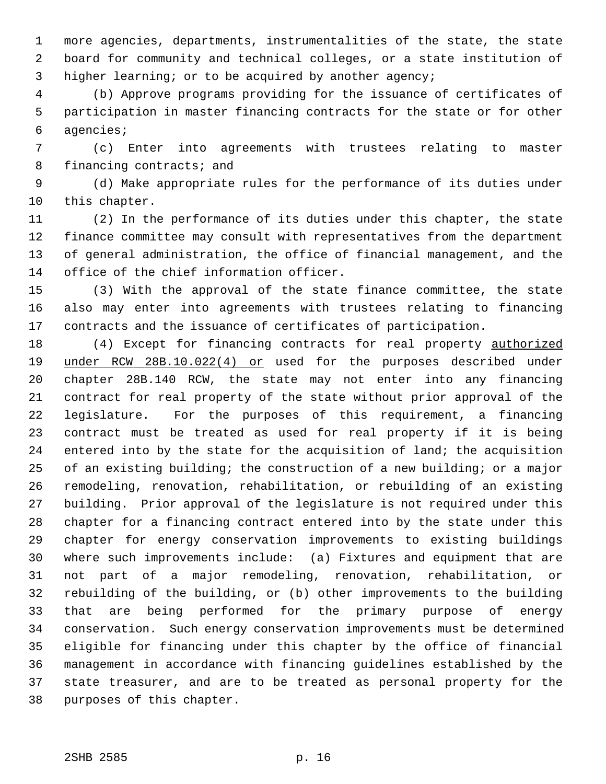1 more agencies, departments, instrumentalities of the state, the state 2 board for community and technical colleges, or a state institution of 3 higher learning; or to be acquired by another agency;

 4 (b) Approve programs providing for the issuance of certificates of 5 participation in master financing contracts for the state or for other 6 agencies;

 7 (c) Enter into agreements with trustees relating to master 8 financing contracts; and

 9 (d) Make appropriate rules for the performance of its duties under 10 this chapter.

11 (2) In the performance of its duties under this chapter, the state 12 finance committee may consult with representatives from the department 13 of general administration, the office of financial management, and the 14 office of the chief information officer.

15 (3) With the approval of the state finance committee, the state 16 also may enter into agreements with trustees relating to financing 17 contracts and the issuance of certificates of participation.

18 (4) Except for financing contracts for real property authorized 19 under RCW 28B.10.022(4) or used for the purposes described under 20 chapter 28B.140 RCW, the state may not enter into any financing 21 contract for real property of the state without prior approval of the 22 legislature. For the purposes of this requirement, a financing 23 contract must be treated as used for real property if it is being 24 entered into by the state for the acquisition of land; the acquisition 25 of an existing building; the construction of a new building; or a major 26 remodeling, renovation, rehabilitation, or rebuilding of an existing 27 building. Prior approval of the legislature is not required under this 28 chapter for a financing contract entered into by the state under this 29 chapter for energy conservation improvements to existing buildings 30 where such improvements include: (a) Fixtures and equipment that are 31 not part of a major remodeling, renovation, rehabilitation, or 32 rebuilding of the building, or (b) other improvements to the building 33 that are being performed for the primary purpose of energy 34 conservation. Such energy conservation improvements must be determined 35 eligible for financing under this chapter by the office of financial 36 management in accordance with financing guidelines established by the 37 state treasurer, and are to be treated as personal property for the 38 purposes of this chapter.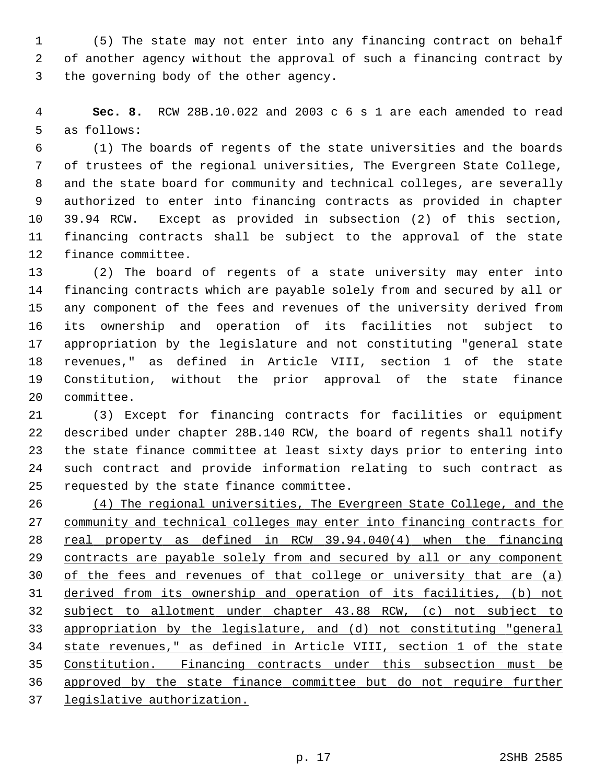1 (5) The state may not enter into any financing contract on behalf 2 of another agency without the approval of such a financing contract by 3 the governing body of the other agency.

 4 **Sec. 8.** RCW 28B.10.022 and 2003 c 6 s 1 are each amended to read 5 as follows:

 6 (1) The boards of regents of the state universities and the boards 7 of trustees of the regional universities, The Evergreen State College, 8 and the state board for community and technical colleges, are severally 9 authorized to enter into financing contracts as provided in chapter 10 39.94 RCW. Except as provided in subsection (2) of this section, 11 financing contracts shall be subject to the approval of the state 12 finance committee.

13 (2) The board of regents of a state university may enter into 14 financing contracts which are payable solely from and secured by all or 15 any component of the fees and revenues of the university derived from 16 its ownership and operation of its facilities not subject to 17 appropriation by the legislature and not constituting "general state 18 revenues," as defined in Article VIII, section 1 of the state 19 Constitution, without the prior approval of the state finance 20 committee.

21 (3) Except for financing contracts for facilities or equipment 22 described under chapter 28B.140 RCW, the board of regents shall notify 23 the state finance committee at least sixty days prior to entering into 24 such contract and provide information relating to such contract as 25 requested by the state finance committee.

 (4) The regional universities, The Evergreen State College, and the 27 community and technical colleges may enter into financing contracts for real property as defined in RCW 39.94.040(4) when the financing contracts are payable solely from and secured by all or any component of the fees and revenues of that college or university that are (a) derived from its ownership and operation of its facilities, (b) not subject to allotment under chapter 43.88 RCW, (c) not subject to appropriation by the legislature, and (d) not constituting "general state revenues," as defined in Article VIII, section 1 of the state Constitution. Financing contracts under this subsection must be approved by the state finance committee but do not require further legislative authorization.